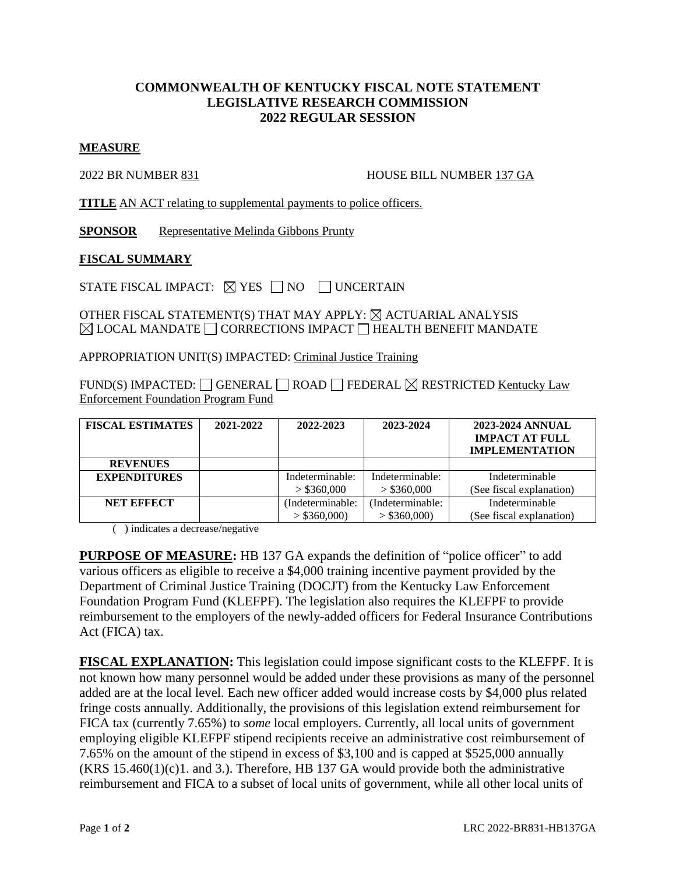## **COMMONWEALTH OF KENTUCKY FISCAL NOTE STATEMENT LEGISLATIVE RESEARCH COMMISSION 2022 REGULAR SESSION**

## **MEASURE**

2022 BR NUMBER 831 HOUSE BILL NUMBER 137 GA

**TITLE** AN ACT relating to supplemental payments to police officers.

**SPONSOR** Representative Melinda Gibbons Prunty

## **FISCAL SUMMARY**

STATE FISCAL IMPACT:  $\boxtimes$  YES  $\Box$  NO  $\Box$  UNCERTAIN

OTHER FISCAL STATEMENT(S) THAT MAY APPLY:  $\boxtimes$  ACTUARIAL ANALYSIS  $\boxtimes$  LOCAL MANDATE  $\Box$  CORRECTIONS IMPACT  $\Box$  HEALTH BENEFIT MANDATE

APPROPRIATION UNIT(S) IMPACTED: Criminal Justice Training

FUND(S) IMPACTED:  $\Box$  GENERAL  $\Box$  ROAD  $\Box$  FEDERAL  $\boxtimes$  RESTRICTED Kentucky Law Enforcement Foundation Program Fund

| <b>FISCAL ESTIMATES</b> | 2021-2022 | 2022-2023        | 2023-2024        | 2023-2024 ANNUAL<br><b>IMPACT AT FULL</b><br><b>IMPLEMENTATION</b> |
|-------------------------|-----------|------------------|------------------|--------------------------------------------------------------------|
| <b>REVENUES</b>         |           |                  |                  |                                                                    |
| <b>EXPENDITURES</b>     |           | Indeterminable:  | Indeterminable:  | Indeterminable                                                     |
|                         |           | $>$ \$360,000    | $>$ \$360,000    | (See fiscal explanation)                                           |
| <b>NET EFFECT</b>       |           | (Indeterminable: | (Indeterminable: | Indeterminable                                                     |
|                         |           | $>$ \$360,000)   | $>$ \$360,000)   | (See fiscal explanation)                                           |

( ) indicates a decrease/negative

**PURPOSE OF MEASURE:** HB 137 GA expands the definition of "police officer" to add various officers as eligible to receive a \$4,000 training incentive payment provided by the Department of Criminal Justice Training (DOCJT) from the Kentucky Law Enforcement Foundation Program Fund (KLEFPF). The legislation also requires the KLEFPF to provide reimbursement to the employers of the newly-added officers for Federal Insurance Contributions Act (FICA) tax.

**FISCAL EXPLANATION:** This legislation could impose significant costs to the KLEFPF. It is not known how many personnel would be added under these provisions as many of the personnel added are at the local level. Each new officer added would increase costs by \$4,000 plus related fringe costs annually. Additionally, the provisions of this legislation extend reimbursement for FICA tax (currently 7.65%) to *some* local employers. Currently, all local units of government employing eligible KLEFPF stipend recipients receive an administrative cost reimbursement of 7.65% on the amount of the stipend in excess of \$3,100 and is capped at \$525,000 annually  $(KRS 15.460(1)(c)1.$  and 3.). Therefore, HB 137 GA would provide both the administrative reimbursement and FICA to a subset of local units of government, while all other local units of